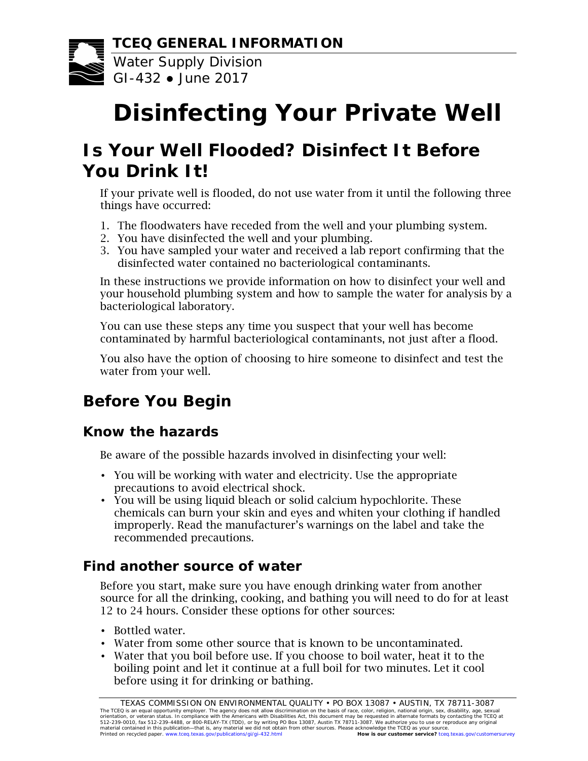

Water Supply Division GI-432 ● June 2017

# **Disinfecting Your Private Well**

# **Is Your Well Flooded? Disinfect It Before You Drink It!**

If your private well is flooded, do not use water from it until the following three things have occurred:

- 1. The floodwaters have receded from the well and your plumbing system.
- 2. You have disinfected the well and your plumbing.
- 3. You have sampled your water and received a lab report confirming that the disinfected water contained no bacteriological contaminants.

In these instructions we provide information on how to disinfect your well and your household plumbing system and how to sample the water for analysis by a bacteriological laboratory.

You can use these steps any time you suspect that your well has become contaminated by harmful bacteriological contaminants, not just after a flood.

You also have the option of choosing to hire someone to disinfect and test the water from your well.

# **Before You Begin**

## *Know the hazards*

Be aware of the possible hazards involved in disinfecting your well:

- You will be working with water and electricity. Use the appropriate precautions to avoid electrical shock.
- You will be using liquid bleach or solid calcium hypochlorite. These chemicals can burn your skin and eyes and whiten your clothing if handled improperly. Read the manufacturer's warnings on the label and take the recommended precautions.

## *Find another source of water*

Before you start, make sure you have enough drinking water from another source for all the drinking, cooking, and bathing you will need to do for at least 12 to 24 hours. Consider these options for other sources:

- Bottled water.
- Water from some other source that is known to be uncontaminated.
- Water that you boil before use. If you choose to boil water, heat it to the boiling point and let it continue at a full boil for two minutes. Let it cool before using it for drinking or bathing.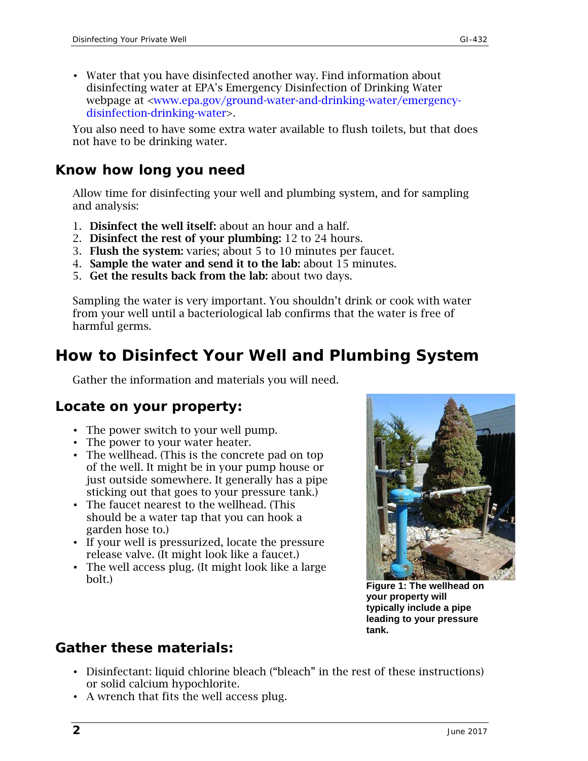• Water that you have disinfected another way. Find information about disinfecting water at EPA's Emergency Disinfection of Drinking Water webpage at [<www.epa.gov/ground-water-and-drinking-water/emergency](https://www.epa.gov/ground-water-and-drinking-water/emergency-disinfection-drinking-water)[disinfection-drinking-water>](https://www.epa.gov/ground-water-and-drinking-water/emergency-disinfection-drinking-water).

You also need to have some extra water available to flush toilets, but that does not have to be drinking water.

#### *Know how long you need*

Allow time for disinfecting your well and plumbing system, and for sampling and analysis:

- 1. Disinfect the well itself: about an hour and a half.
- 2. Disinfect the rest of your plumbing: 12 to 24 hours.
- 3. Flush the system: varies; about 5 to 10 minutes per faucet.
- 4. Sample the water and send it to the lab: about 15 minutes.
- 5. Get the results back from the lab: about two days.

Sampling the water is very important. You shouldn't drink or cook with water from your well until a bacteriological lab confirms that the water is free of harmful germs.

## **How to Disinfect Your Well and Plumbing System**

Gather the information and materials you will need.

#### *Locate on your property:*

- The power switch to your well pump.
- The power to your water heater.
- The wellhead. (This is the concrete pad on top of the well. It might be in your pump house or just outside somewhere. It generally has a pipe sticking out that goes to your pressure tank.)
- The faucet nearest to the wellhead. (This should be a water tap that you can hook a garden hose to.)
- If your well is pressurized, locate the pressure release valve. (It might look like a faucet.)
- The well access plug. (It might look like a large bolt.)



**Figure 1: The wellhead on your property will typically include a pipe leading to your pressure tank.**

#### *Gather these materials:*

- Disinfectant: liquid chlorine bleach ("bleach" in the rest of these instructions) or solid calcium hypochlorite.
- A wrench that fits the well access plug.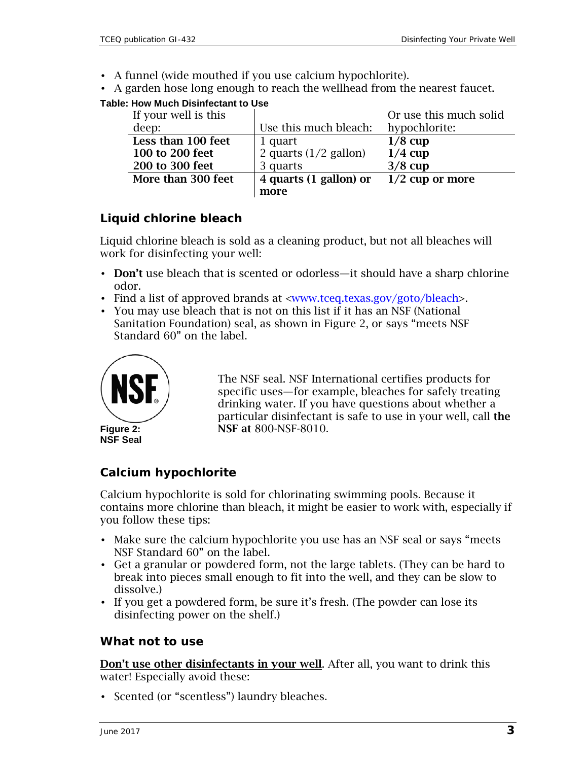- A funnel (wide mouthed if you use calcium hypochlorite).
- A garden hose long enough to reach the wellhead from the nearest faucet.

#### **Table: How Much Disinfectant to Use**

| If your well is this |                                 | Or use this much solid |
|----------------------|---------------------------------|------------------------|
| deep:                | Use this much bleach:           | hypochlorite:          |
| Less than 100 feet   | 1 quart                         | $1/8$ cup              |
| 100 to 200 feet      | 2 quarts $(1/2 \text{ gallon})$ | $1/4$ cup              |
| 200 to 300 feet      | 3 quarts                        | $3/8$ cup              |
| More than 300 feet   | 4 quarts (1 gallon) or          | $1/2$ cup or more      |
|                      | more                            |                        |

#### **Liquid chlorine bleach**

Liquid chlorine bleach is sold as a cleaning product, but not all bleaches will work for disinfecting your well:

- Don't use bleach that is scented or odorless—it should have a sharp chlorine odor.
- Find a list of approved brands at [<www.tceq.texas.gov/goto/bleach>](http://www.tceq.texas.gov/drinkingwater/disinfection/approved_bleach.html).
- You may use bleach that is not on this list if it has an NSF (National Sanitation Foundation) seal, as shown in Figure 2, or says "meets NSF Standard 60" on the label.



The NSF seal. NSF International certifies products for specific uses—for example, bleaches for safely treating drinking water. If you have questions about whether a particular disinfectant is safe to use in your well, call the NSF at 800-NSF-8010.

#### **Calcium hypochlorite**

Calcium hypochlorite is sold for chlorinating swimming pools. Because it contains more chlorine than bleach, it might be easier to work with, especially if you follow these tips:

- Make sure the calcium hypochlorite you use has an NSF seal or says "meets NSF Standard 60" on the label.
- Get a granular or powdered form, not the large tablets. (They can be hard to break into pieces small enough to fit into the well, and they can be slow to dissolve.)
- If you get a powdered form, be sure it's fresh. (The powder can lose its disinfecting power on the shelf.)

#### **What not to use**

Don't use other disinfectants in your well. After all, you want to drink this water! Especially avoid these:

• Scented (or "scentless") laundry bleaches.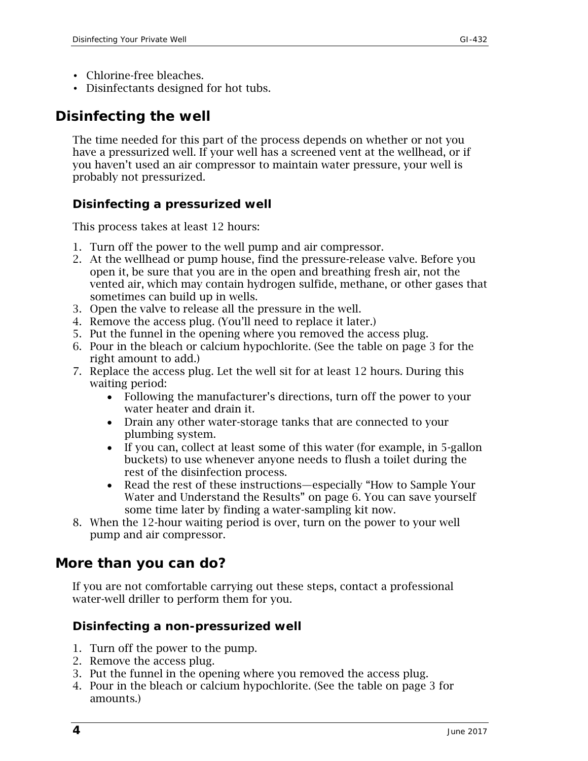- Chlorine-free bleaches.
- Disinfectants designed for hot tubs.

## *Disinfecting the well*

The time needed for this part of the process depends on whether or not you have a pressurized well. If your well has a screened vent at the wellhead, or if you haven't used an air compressor to maintain water pressure, your well is probably not pressurized.

#### **Disinfecting a pressurized well**

This process takes at least 12 hours:

- 1. Turn off the power to the well pump and air compressor.
- 2. At the wellhead or pump house, find the pressure-release valve. Before you open it, be sure that you are in the open and breathing fresh air, not the vented air, which may contain hydrogen sulfide, methane, or other gases that sometimes can build up in wells.
- 3. Open the valve to release all the pressure in the well.
- 4. Remove the access plug. (You'll need to replace it later.)
- 5. Put the funnel in the opening where you removed the access plug.
- 6. Pour in the bleach or calcium hypochlorite. (See the table on page 3 for the right amount to add.)
- 7. Replace the access plug. Let the well sit for at least 12 hours. During this waiting period:
	- Following the manufacturer's directions, turn off the power to your water heater and drain it.
	- Drain any other water-storage tanks that are connected to your plumbing system.
	- If you can, collect at least some of this water (for example, in 5-gallon buckets) to use whenever anyone needs to flush a toilet during the rest of the disinfection process.
	- Read the rest of these instructions—especially ["How to Sample Your](#page-5-0)  [Water and Understand the Results"](#page-5-0) on page 6. You can save yourself some time later by finding a water-sampling kit now.
- 8. When the 12-hour waiting period is over, turn on the power to your well pump and air compressor.

## *More than you can do?*

If you are not comfortable carrying out these steps, contact a professional water-well driller to perform them for you.

#### **Disinfecting a non-pressurized well**

- 1. Turn off the power to the pump.
- 2. Remove the access plug.
- 3. Put the funnel in the opening where you removed the access plug.
- 4. Pour in the bleach or calcium hypochlorite. (See the table on page 3 for amounts.)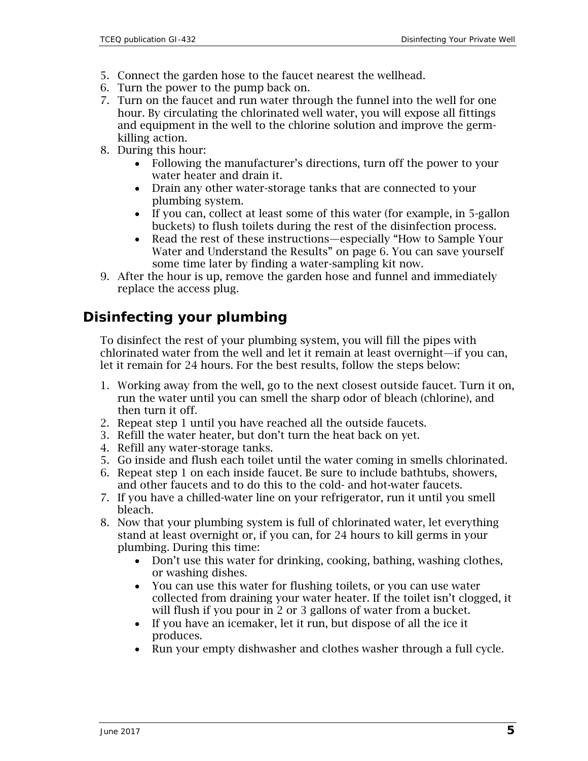- 5. Connect the garden hose to the faucet nearest the wellhead.
- 6. Turn the power to the pump back on.
- 7. Turn on the faucet and run water through the funnel into the well for one hour. By circulating the chlorinated well water, you will expose all fittings and equipment in the well to the chlorine solution and improve the germkilling action.
- 8. During this hour:
	- Following the manufacturer's directions, turn off the power to your water heater and drain it.
	- Drain any other water-storage tanks that are connected to your plumbing system.
	- If you can, collect at least some of this water (for example, in 5-gallon buckets) to flush toilets during the rest of the disinfection process.
	- Read the rest of these instructions—especially ["How to Sample Your](#page-5-0)  [Water and Understand the Results"](#page-5-0) on page 6. You can save yourself some time later by finding a water-sampling kit now.
- 9. After the hour is up, remove the garden hose and funnel and immediately replace the access plug.

## *Disinfecting your plumbing*

To disinfect the rest of your plumbing system, you will fill the pipes with chlorinated water from the well and let it remain at least overnight—if you can, let it remain for 24 hours. For the best results, follow the steps below:

- 1. Working away from the well, go to the next closest outside faucet. Turn it on, run the water until you can smell the sharp odor of bleach (chlorine), and then turn it off.
- 2. Repeat step 1 until you have reached all the outside faucets.
- 3. Refill the water heater, but don't turn the heat back on yet.
- 4. Refill any water-storage tanks.
- 5. Go inside and flush each toilet until the water coming in smells chlorinated.
- 6. Repeat step 1 on each inside faucet. Be sure to include bathtubs, showers, and other faucets and to do this to the cold- and hot-water faucets.
- 7. If you have a chilled-water line on your refrigerator, run it until you smell bleach.
- 8. Now that your plumbing system is full of chlorinated water, let everything stand at least overnight or, if you can, for 24 hours to kill germs in your plumbing. During this time:
	- Don't use this water for drinking, cooking, bathing, washing clothes, or washing dishes.
	- You can use this water for flushing toilets, or you can use water collected from draining your water heater. If the toilet isn't clogged, it will flush if you pour in 2 or 3 gallons of water from a bucket.
	- If you have an icemaker, let it run, but dispose of all the ice it produces.
	- Run your empty dishwasher and clothes washer through a full cycle.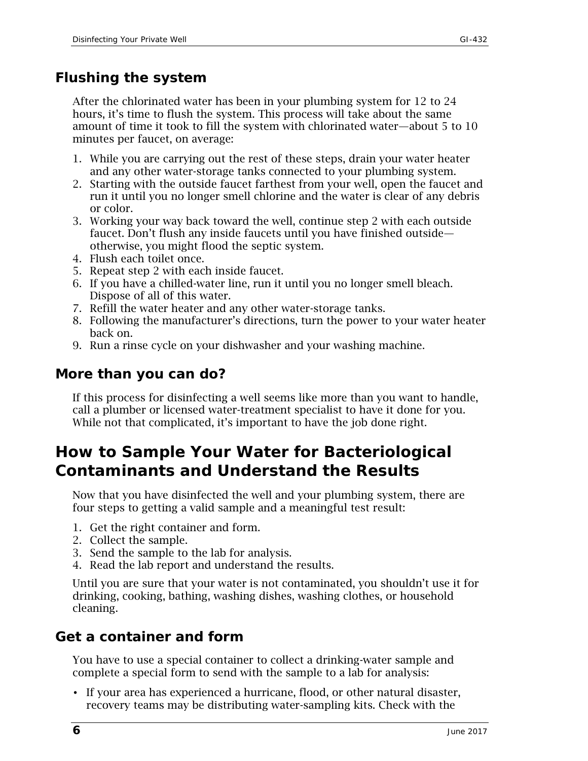## *Flushing the system*

After the chlorinated water has been in your plumbing system for 12 to 24 hours, it's time to flush the system. This process will take about the same amount of time it took to fill the system with chlorinated water—about 5 to 10 minutes per faucet, on average:

- 1. While you are carrying out the rest of these steps, drain your water heater and any other water-storage tanks connected to your plumbing system.
- 2. Starting with the outside faucet farthest from your well, open the faucet and run it until you no longer smell chlorine and the water is clear of any debris or color.
- 3. Working your way back toward the well, continue step 2 with each outside faucet. Don't flush any inside faucets until you have finished outside otherwise, you might flood the septic system.
- 4. Flush each toilet once.
- 5. Repeat step 2 with each inside faucet.
- 6. If you have a chilled-water line, run it until you no longer smell bleach. Dispose of all of this water.
- 7. Refill the water heater and any other water-storage tanks.
- 8. Following the manufacturer's directions, turn the power to your water heater back on.
- 9. Run a rinse cycle on your dishwasher and your washing machine.

#### *More than you can do?*

If this process for disinfecting a well seems like more than you want to handle, call a plumber or licensed water-treatment specialist to have it done for you. While not that complicated, it's important to have the job done right.

## <span id="page-5-0"></span>**How to Sample Your Water for Bacteriological Contaminants and Understand the Results**

Now that you have disinfected the well and your plumbing system, there are four steps to getting a valid sample and a meaningful test result:

- 1. Get the right container and form.
- 2. Collect the sample.
- 3. Send the sample to the lab for analysis.
- 4. Read the lab report and understand the results.

Until you are sure that your water is not contaminated, you shouldn't use it for drinking, cooking, bathing, washing dishes, washing clothes, or household cleaning.

## *Get a container and form*

You have to use a special container to collect a drinking-water sample and complete a special form to send with the sample to a lab for analysis:

• If your area has experienced a hurricane, flood, or other natural disaster, recovery teams may be distributing water-sampling kits. Check with the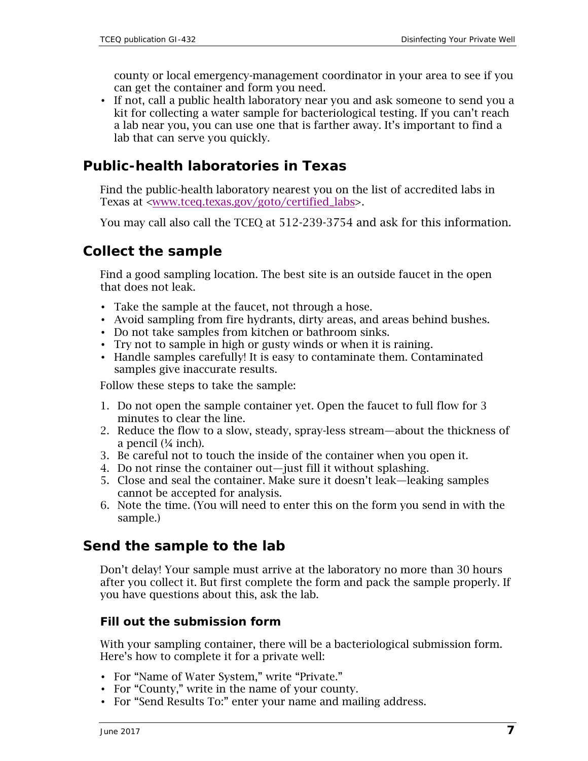county or local emergency-management coordinator in your area to see if you can get the container and form you need.

• If not, call a public health laboratory near you and ask someone to send you a kit for collecting a water sample for bacteriological testing. If you can't reach a lab near you, you can use one that is farther away. It's important to find a lab that can serve you quickly.

#### *Public-health laboratories in Texas*

Find the public-health laboratory nearest you on the list of accredited labs in Texas at [<www.tceq.texas.gov/goto/certified\\_labs>](http://www.tceq.texas.gov/goto/certified_labs).

You may call also call the TCEQ at 512-239-3754 and ask for this information.

#### *Collect the sample*

Find a good sampling location. The best site is an outside faucet in the open that does not leak.

- Take the sample at the faucet, not through a hose.
- Avoid sampling from fire hydrants, dirty areas, and areas behind bushes.
- Do not take samples from kitchen or bathroom sinks.
- Try not to sample in high or gusty winds or when it is raining.
- Handle samples carefully! It is easy to contaminate them. Contaminated samples give inaccurate results.

Follow these steps to take the sample:

- 1. Do not open the sample container yet. Open the faucet to full flow for 3 minutes to clear the line.
- 2. Reduce the flow to a slow, steady, spray-less stream—about the thickness of a pencil (¼ inch).
- 3. Be careful not to touch the inside of the container when you open it.
- 4. Do not rinse the container out—just fill it without splashing.
- 5. Close and seal the container. Make sure it doesn't leak—leaking samples cannot be accepted for analysis.
- 6. Note the time. (You will need to enter this on the form you send in with the sample.)

#### *Send the sample to the lab*

Don't delay! Your sample must arrive at the laboratory no more than 30 hours after you collect it. But first complete the form and pack the sample properly. If you have questions about this, ask the lab.

#### **Fill out the submission form**

With your sampling container, there will be a bacteriological submission form. Here's how to complete it for a private well:

- For "Name of Water System," write "Private."
- For "County," write in the name of your county.
- For "Send Results To:" enter your name and mailing address.